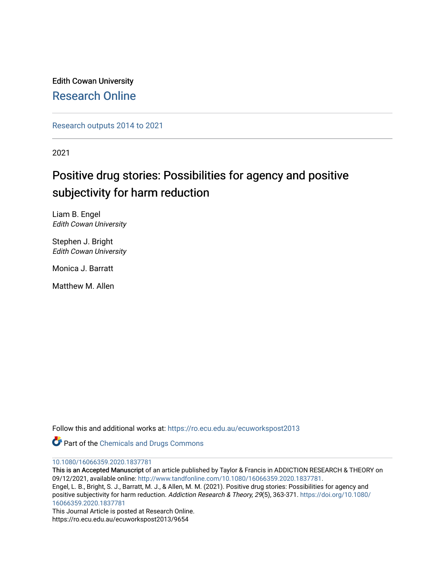Edith Cowan University [Research Online](https://ro.ecu.edu.au/) 

[Research outputs 2014 to 2021](https://ro.ecu.edu.au/ecuworkspost2013) 

2021

# Positive drug stories: Possibilities for agency and positive subjectivity for harm reduction

Liam B. Engel Edith Cowan University

Stephen J. Bright Edith Cowan University

Monica J. Barratt

Matthew M. Allen

Follow this and additional works at: [https://ro.ecu.edu.au/ecuworkspost2013](https://ro.ecu.edu.au/ecuworkspost2013?utm_source=ro.ecu.edu.au%2Fecuworkspost2013%2F9654&utm_medium=PDF&utm_campaign=PDFCoverPages) 

Part of the [Chemicals and Drugs Commons](https://network.bepress.com/hgg/discipline/902?utm_source=ro.ecu.edu.au%2Fecuworkspost2013%2F9654&utm_medium=PDF&utm_campaign=PDFCoverPages)

#### [10.1080/16066359.2020.1837781](http://dx.doi.org/10.1080/16066359.2020.1837781)

This is an Accepted Manuscript of an article published by Taylor & Francis in ADDICTION RESEARCH & THEORY on 09/12/2021, available online: [http://www.tandfonline.com/10.1080/16066359.2020.1837781.](http://www.tandfonline.com/10.1080/16066359.2020.1837781) Engel, L. B., Bright, S. J., Barratt, M. J., & Allen, M. M. (2021). Positive drug stories: Possibilities for agency and positive subjectivity for harm reduction. Addiction Research & Theory, 29(5), 363-371. [https://doi.org/10.1080/](https://doi.org/10.1080/16066359.2020.1837781) [16066359.2020.1837781](https://doi.org/10.1080/16066359.2020.1837781) 

This Journal Article is posted at Research Online. https://ro.ecu.edu.au/ecuworkspost2013/9654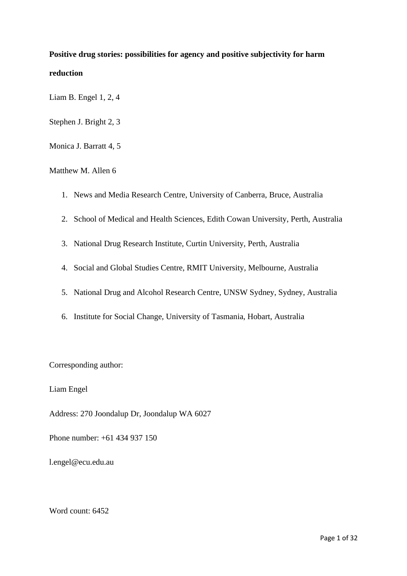## <span id="page-1-0"></span>**Positive drug stories: possibilities for agency and positive subjectivity for harm reduction**

Liam B. Engel 1, 2, 4

Stephen J. Bright 2, 3

Monica J. Barratt 4, 5

## Matthew M. Allen 6

- 1. News and Media Research Centre, University of Canberra, Bruce, Australia
- 2. School of Medical and Health Sciences, Edith Cowan University, Perth, Australia
- 3. National Drug Research Institute, Curtin University, Perth, Australia
- 4. Social and Global Studies Centre, RMIT University, Melbourne, Australia
- 5. National Drug and Alcohol Research Centre, UNSW Sydney, Sydney, Australia
- 6. Institute for Social Change, University of Tasmania, Hobart, Australia

Corresponding author:

Liam Engel

Address: 270 Joondalup Dr, Joondalup WA 6027

Phone number: +61 434 937 150

l.engel@ecu.edu.au

Word count: 6452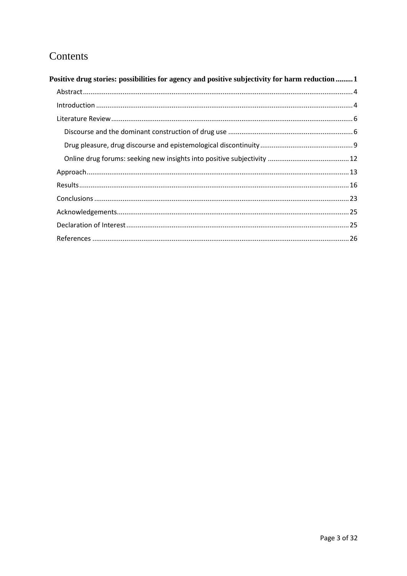## Contents

| Positive drug stories: possibilities for agency and positive subjectivity for harm reduction  1 |  |
|-------------------------------------------------------------------------------------------------|--|
|                                                                                                 |  |
|                                                                                                 |  |
|                                                                                                 |  |
|                                                                                                 |  |
|                                                                                                 |  |
|                                                                                                 |  |
|                                                                                                 |  |
|                                                                                                 |  |
|                                                                                                 |  |
|                                                                                                 |  |
|                                                                                                 |  |
|                                                                                                 |  |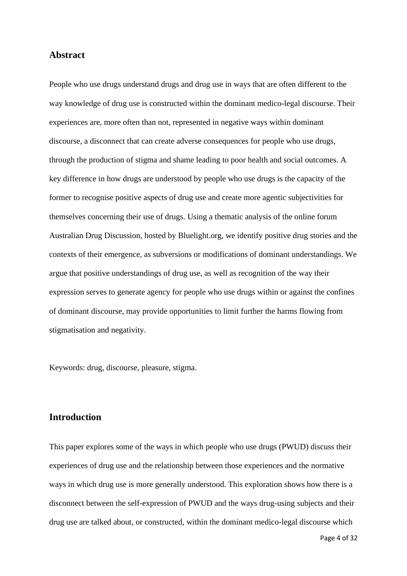## <span id="page-4-0"></span>**Abstract**

People who use drugs understand drugs and drug use in ways that are often different to the way knowledge of drug use is constructed within the dominant medico-legal discourse. Their experiences are, more often than not, represented in negative ways within dominant discourse, a disconnect that can create adverse consequences for people who use drugs, through the production of stigma and shame leading to poor health and social outcomes. A key difference in how drugs are understood by people who use drugs is the capacity of the former to recognise positive aspects of drug use and create more agentic subjectivities for themselves concerning their use of drugs. Using a thematic analysis of the online forum Australian Drug Discussion, hosted by Bluelight.org, we identify positive drug stories and the contexts of their emergence, as subversions or modifications of dominant understandings. We argue that positive understandings of drug use, as well as recognition of the way their expression serves to generate agency for people who use drugs within or against the confines of dominant discourse, may provide opportunities to limit further the harms flowing from stigmatisation and negativity.

Keywords: drug, discourse, pleasure, stigma.

## <span id="page-4-1"></span>**Introduction**

This paper explores some of the ways in which people who use drugs (PWUD) discuss their experiences of drug use and the relationship between those experiences and the normative ways in which drug use is more generally understood. This exploration shows how there is a disconnect between the self-expression of PWUD and the ways drug-using subjects and their drug use are talked about, or constructed, within the dominant medico-legal discourse which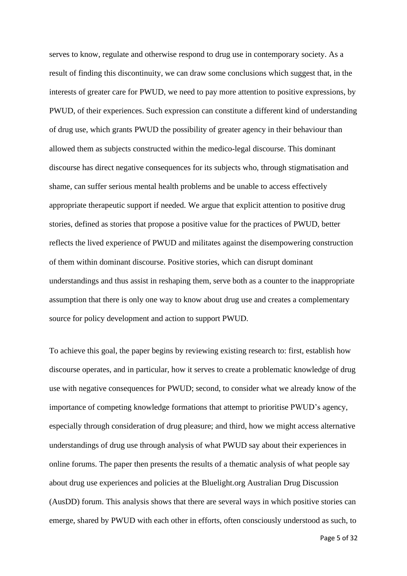serves to know, regulate and otherwise respond to drug use in contemporary society. As a result of finding this discontinuity, we can draw some conclusions which suggest that, in the interests of greater care for PWUD, we need to pay more attention to positive expressions, by PWUD, of their experiences. Such expression can constitute a different kind of understanding of drug use, which grants PWUD the possibility of greater agency in their behaviour than allowed them as subjects constructed within the medico-legal discourse. This dominant discourse has direct negative consequences for its subjects who, through stigmatisation and shame, can suffer serious mental health problems and be unable to access effectively appropriate therapeutic support if needed. We argue that explicit attention to positive drug stories, defined as stories that propose a positive value for the practices of PWUD, better reflects the lived experience of PWUD and militates against the disempowering construction of them within dominant discourse. Positive stories, which can disrupt dominant understandings and thus assist in reshaping them, serve both as a counter to the inappropriate assumption that there is only one way to know about drug use and creates a complementary source for policy development and action to support PWUD.

To achieve this goal, the paper begins by reviewing existing research to: first, establish how discourse operates, and in particular, how it serves to create a problematic knowledge of drug use with negative consequences for PWUD; second, to consider what we already know of the importance of competing knowledge formations that attempt to prioritise PWUD's agency, especially through consideration of drug pleasure; and third, how we might access alternative understandings of drug use through analysis of what PWUD say about their experiences in online forums. The paper then presents the results of a thematic analysis of what people say about drug use experiences and policies at the Bluelight.org Australian Drug Discussion (AusDD) forum. This analysis shows that there are several ways in which positive stories can emerge, shared by PWUD with each other in efforts, often consciously understood as such, to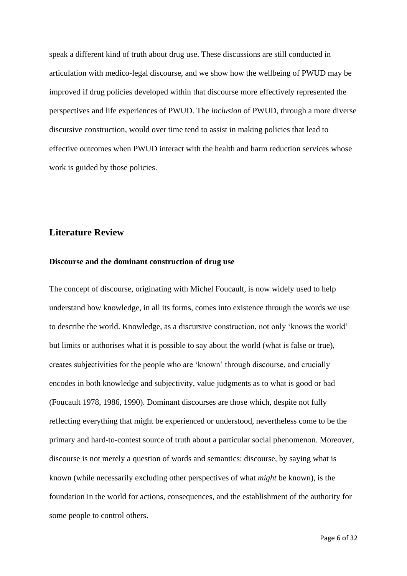speak a different kind of truth about drug use. These discussions are still conducted in articulation with medico-legal discourse, and we show how the wellbeing of PWUD may be improved if drug policies developed within that discourse more effectively represented the perspectives and life experiences of PWUD. The *inclusion* of PWUD, through a more diverse discursive construction, would over time tend to assist in making policies that lead to effective outcomes when PWUD interact with the health and harm reduction services whose work is guided by those policies.

## <span id="page-6-0"></span>**Literature Review**

#### <span id="page-6-1"></span>**Discourse and the dominant construction of drug use**

The concept of discourse, originating with Michel Foucault, is now widely used to help understand how knowledge, in all its forms, comes into existence through the words we use to describe the world. Knowledge, as a discursive construction, not only 'knows the world' but limits or authorises what it is possible to say about the world (what is false or true), creates subjectivities for the people who are 'known' through discourse, and crucially encodes in both knowledge and subjectivity, value judgments as to what is good or bad (Foucault 1978, 1986, 1990). Dominant discourses are those which, despite not fully reflecting everything that might be experienced or understood, nevertheless come to be the primary and hard-to-contest source of truth about a particular social phenomenon. Moreover, discourse is not merely a question of words and semantics: discourse, by saying what is known (while necessarily excluding other perspectives of what *might* be known), is the foundation in the world for actions, consequences, and the establishment of the authority for some people to control others.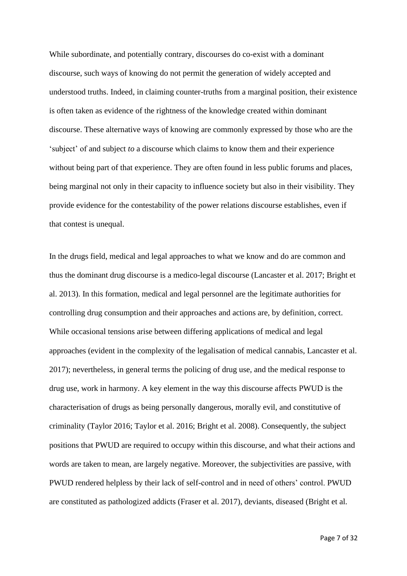While subordinate, and potentially contrary, discourses do co-exist with a dominant discourse, such ways of knowing do not permit the generation of widely accepted and understood truths. Indeed, in claiming counter-truths from a marginal position, their existence is often taken as evidence of the rightness of the knowledge created within dominant discourse. These alternative ways of knowing are commonly expressed by those who are the 'subject' of and subject *to* a discourse which claims to know them and their experience without being part of that experience. They are often found in less public forums and places, being marginal not only in their capacity to influence society but also in their visibility. They provide evidence for the contestability of the power relations discourse establishes, even if that contest is unequal.

In the drugs field, medical and legal approaches to what we know and do are common and thus the dominant drug discourse is a medico-legal discourse (Lancaster et al. 2017; Bright et al. 2013). In this formation, medical and legal personnel are the legitimate authorities for controlling drug consumption and their approaches and actions are, by definition, correct. While occasional tensions arise between differing applications of medical and legal approaches (evident in the complexity of the legalisation of medical cannabis, Lancaster et al. 2017); nevertheless, in general terms the policing of drug use, and the medical response to drug use, work in harmony. A key element in the way this discourse affects PWUD is the characterisation of drugs as being personally dangerous, morally evil, and constitutive of criminality (Taylor 2016; Taylor et al. 2016; Bright et al. 2008). Consequently, the subject positions that PWUD are required to occupy within this discourse, and what their actions and words are taken to mean, are largely negative. Moreover, the subjectivities are passive, with PWUD rendered helpless by their lack of self-control and in need of others' control. PWUD are constituted as pathologized addicts (Fraser et al. 2017), deviants, diseased (Bright et al.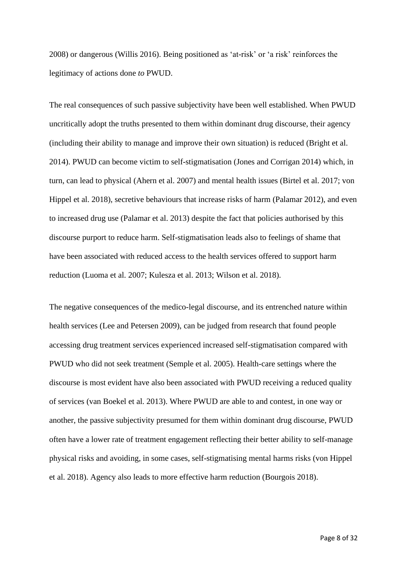2008) or dangerous (Willis 2016). Being positioned as 'at-risk' or 'a risk' reinforces the legitimacy of actions done *to* PWUD.

The real consequences of such passive subjectivity have been well established. When PWUD uncritically adopt the truths presented to them within dominant drug discourse, their agency (including their ability to manage and improve their own situation) is reduced (Bright et al. 2014). PWUD can become victim to self-stigmatisation (Jones and Corrigan 2014) which, in turn, can lead to physical (Ahern et al. 2007) and mental health issues (Birtel et al. 2017; von Hippel et al. 2018), secretive behaviours that increase risks of harm (Palamar 2012), and even to increased drug use (Palamar et al. 2013) despite the fact that policies authorised by this discourse purport to reduce harm. Self-stigmatisation leads also to feelings of shame that have been associated with reduced access to the health services offered to support harm reduction (Luoma et al. 2007; Kulesza et al. 2013; Wilson et al. 2018).

The negative consequences of the medico-legal discourse, and its entrenched nature within health services (Lee and Petersen 2009), can be judged from research that found people accessing drug treatment services experienced increased self-stigmatisation compared with PWUD who did not seek treatment (Semple et al. 2005). Health-care settings where the discourse is most evident have also been associated with PWUD receiving a reduced quality of services (van Boekel et al. 2013). Where PWUD are able to and contest, in one way or another, the passive subjectivity presumed for them within dominant drug discourse, PWUD often have a lower rate of treatment engagement reflecting their better ability to self-manage physical risks and avoiding, in some cases, self-stigmatising mental harms risks (von Hippel et al. 2018). Agency also leads to more effective harm reduction (Bourgois 2018).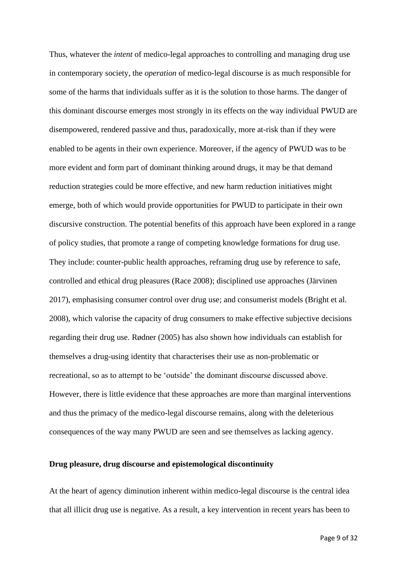Thus, whatever the *intent* of medico-legal approaches to controlling and managing drug use in contemporary society, the *operation* of medico-legal discourse is as much responsible for some of the harms that individuals suffer as it is the solution to those harms. The danger of this dominant discourse emerges most strongly in its effects on the way individual PWUD are disempowered, rendered passive and thus, paradoxically, more at-risk than if they were enabled to be agents in their own experience. Moreover, if the agency of PWUD was to be more evident and form part of dominant thinking around drugs, it may be that demand reduction strategies could be more effective, and new harm reduction initiatives might emerge, both of which would provide opportunities for PWUD to participate in their own discursive construction. The potential benefits of this approach have been explored in a range of policy studies, that promote a range of competing knowledge formations for drug use. They include: counter-public health approaches, reframing drug use by reference to safe, controlled and ethical drug pleasures (Race 2008); disciplined use approaches (Järvinen 2017), emphasising consumer control over drug use; and consumerist models (Bright et al. 2008), which valorise the capacity of drug consumers to make effective subjective decisions regarding their drug use. Rødner (2005) has also shown how individuals can establish for themselves a drug-using identity that characterises their use as non-problematic or recreational, so as to attempt to be 'outside' the dominant discourse discussed above. However, there is little evidence that these approaches are more than marginal interventions and thus the primacy of the medico-legal discourse remains, along with the deleterious consequences of the way many PWUD are seen and see themselves as lacking agency.

### <span id="page-9-0"></span>**Drug pleasure, drug discourse and epistemological discontinuity**

At the heart of agency diminution inherent within medico-legal discourse is the central idea that all illicit drug use is negative. As a result, a key intervention in recent years has been to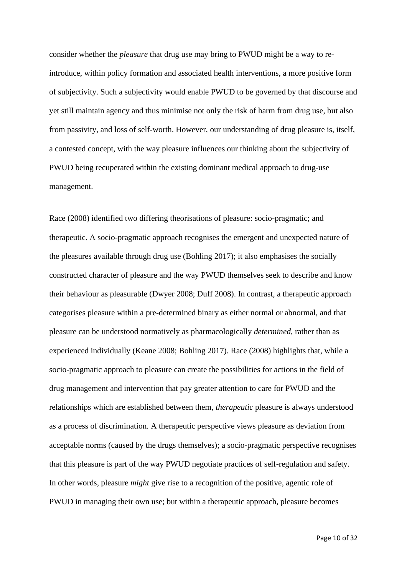consider whether the *pleasure* that drug use may bring to PWUD might be a way to reintroduce, within policy formation and associated health interventions, a more positive form of subjectivity. Such a subjectivity would enable PWUD to be governed by that discourse and yet still maintain agency and thus minimise not only the risk of harm from drug use, but also from passivity, and loss of self-worth. However, our understanding of drug pleasure is, itself, a contested concept, with the way pleasure influences our thinking about the subjectivity of PWUD being recuperated within the existing dominant medical approach to drug-use management.

Race (2008) identified two differing theorisations of pleasure: socio-pragmatic; and therapeutic. A socio-pragmatic approach recognises the emergent and unexpected nature of the pleasures available through drug use (Bohling 2017); it also emphasises the socially constructed character of pleasure and the way PWUD themselves seek to describe and know their behaviour as pleasurable (Dwyer 2008; Duff 2008). In contrast, a therapeutic approach categorises pleasure within a pre-determined binary as either normal or abnormal, and that pleasure can be understood normatively as pharmacologically *determined*, rather than as experienced individually (Keane 2008; Bohling 2017). Race (2008) highlights that, while a socio-pragmatic approach to pleasure can create the possibilities for actions in the field of drug management and intervention that pay greater attention to care for PWUD and the relationships which are established between them, *therapeutic* pleasure is always understood as a process of discrimination. A therapeutic perspective views pleasure as deviation from acceptable norms (caused by the drugs themselves); a socio-pragmatic perspective recognises that this pleasure is part of the way PWUD negotiate practices of self-regulation and safety. In other words, pleasure *might* give rise to a recognition of the positive, agentic role of PWUD in managing their own use; but within a therapeutic approach, pleasure becomes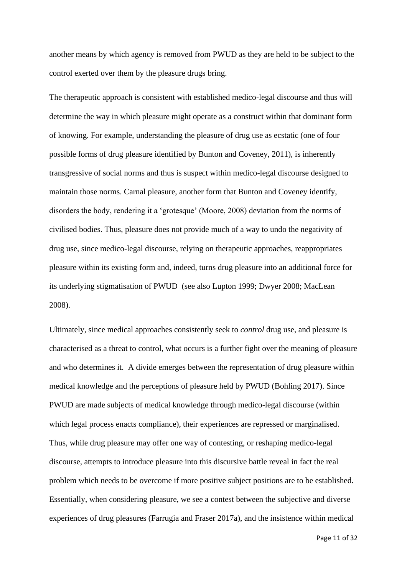another means by which agency is removed from PWUD as they are held to be subject to the control exerted over them by the pleasure drugs bring.

The therapeutic approach is consistent with established medico-legal discourse and thus will determine the way in which pleasure might operate as a construct within that dominant form of knowing. For example, understanding the pleasure of drug use as ecstatic (one of four possible forms of drug pleasure identified by Bunton and Coveney, 2011), is inherently transgressive of social norms and thus is suspect within medico-legal discourse designed to maintain those norms. Carnal pleasure, another form that Bunton and Coveney identify, disorders the body, rendering it a 'grotesque' (Moore, 2008) deviation from the norms of civilised bodies. Thus, pleasure does not provide much of a way to undo the negativity of drug use, since medico-legal discourse, relying on therapeutic approaches, reappropriates pleasure within its existing form and, indeed, turns drug pleasure into an additional force for its underlying stigmatisation of PWUD (see also Lupton 1999; Dwyer 2008; MacLean 2008).

Ultimately, since medical approaches consistently seek to *control* drug use, and pleasure is characterised as a threat to control, what occurs is a further fight over the meaning of pleasure and who determines it. A divide emerges between the representation of drug pleasure within medical knowledge and the perceptions of pleasure held by PWUD (Bohling 2017). Since PWUD are made subjects of medical knowledge through medico-legal discourse (within which legal process enacts compliance), their experiences are repressed or marginalised. Thus, while drug pleasure may offer one way of contesting, or reshaping medico-legal discourse, attempts to introduce pleasure into this discursive battle reveal in fact the real problem which needs to be overcome if more positive subject positions are to be established. Essentially, when considering pleasure, we see a contest between the subjective and diverse experiences of drug pleasures (Farrugia and Fraser 2017a), and the insistence within medical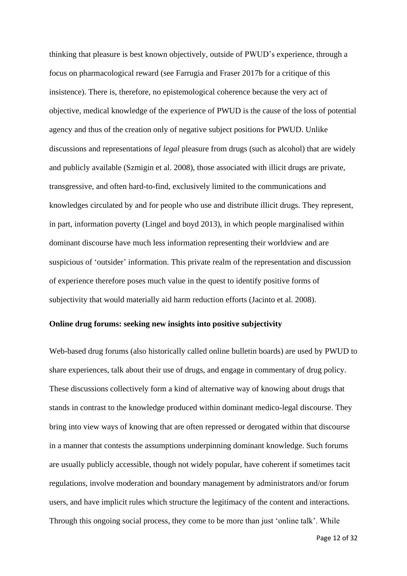thinking that pleasure is best known objectively, outside of PWUD's experience, through a focus on pharmacological reward (see Farrugia and Fraser 2017b for a critique of this insistence). There is, therefore, no epistemological coherence because the very act of objective, medical knowledge of the experience of PWUD is the cause of the loss of potential agency and thus of the creation only of negative subject positions for PWUD. Unlike discussions and representations of *legal* pleasure from drugs (such as alcohol) that are widely and publicly available (Szmigin et al. 2008), those associated with illicit drugs are private, transgressive, and often hard-to-find, exclusively limited to the communications and knowledges circulated by and for people who use and distribute illicit drugs. They represent, in part, information poverty (Lingel and boyd 2013), in which people marginalised within dominant discourse have much less information representing their worldview and are suspicious of 'outsider' information. This private realm of the representation and discussion of experience therefore poses much value in the quest to identify positive forms of subjectivity that would materially aid harm reduction efforts (Jacinto et al. 2008).

### <span id="page-12-0"></span>**Online drug forums: seeking new insights into positive subjectivity**

Web-based drug forums (also historically called online bulletin boards) are used by PWUD to share experiences, talk about their use of drugs, and engage in commentary of drug policy. These discussions collectively form a kind of alternative way of knowing about drugs that stands in contrast to the knowledge produced within dominant medico-legal discourse. They bring into view ways of knowing that are often repressed or derogated within that discourse in a manner that contests the assumptions underpinning dominant knowledge. Such forums are usually publicly accessible, though not widely popular, have coherent if sometimes tacit regulations, involve moderation and boundary management by administrators and/or forum users, and have implicit rules which structure the legitimacy of the content and interactions. Through this ongoing social process, they come to be more than just 'online talk'. While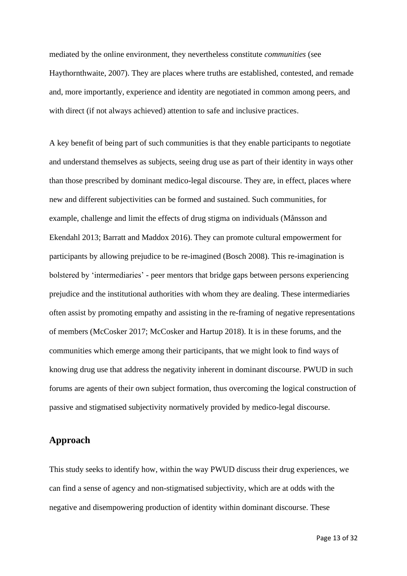mediated by the online environment, they nevertheless constitute *communities* (see Haythornthwaite, 2007). They are places where truths are established, contested, and remade and, more importantly, experience and identity are negotiated in common among peers, and with direct (if not always achieved) attention to safe and inclusive practices.

A key benefit of being part of such communities is that they enable participants to negotiate and understand themselves as subjects, seeing drug use as part of their identity in ways other than those prescribed by dominant medico-legal discourse. They are, in effect, places where new and different subjectivities can be formed and sustained. Such communities, for example, challenge and limit the effects of drug stigma on individuals (Månsson and Ekendahl 2013; Barratt and Maddox 2016). They can promote cultural empowerment for participants by allowing prejudice to be re-imagined (Bosch 2008). This re-imagination is bolstered by 'intermediaries' - peer mentors that bridge gaps between persons experiencing prejudice and the institutional authorities with whom they are dealing. These intermediaries often assist by promoting empathy and assisting in the re-framing of negative representations of members (McCosker 2017; McCosker and Hartup 2018). It is in these forums, and the communities which emerge among their participants, that we might look to find ways of knowing drug use that address the negativity inherent in dominant discourse. PWUD in such forums are agents of their own subject formation, thus overcoming the logical construction of passive and stigmatised subjectivity normatively provided by medico-legal discourse.

## <span id="page-13-0"></span>**Approach**

This study seeks to identify how, within the way PWUD discuss their drug experiences, we can find a sense of agency and non-stigmatised subjectivity, which are at odds with the negative and disempowering production of identity within dominant discourse. These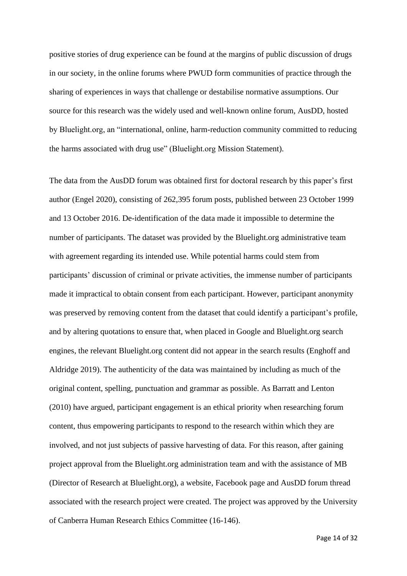positive stories of drug experience can be found at the margins of public discussion of drugs in our society, in the online forums where PWUD form communities of practice through the sharing of experiences in ways that challenge or destabilise normative assumptions. Our source for this research was the widely used and well-known online forum, AusDD, hosted by Bluelight.org, an "international, online, harm-reduction community committed to reducing the harms associated with drug use" (Bluelight.org Mission Statement).

The data from the AusDD forum was obtained first for doctoral research by this paper's first author (Engel 2020), consisting of 262,395 forum posts, published between 23 October 1999 and 13 October 2016. De-identification of the data made it impossible to determine the number of participants. The dataset was provided by the Bluelight.org administrative team with agreement regarding its intended use. While potential harms could stem from participants' discussion of criminal or private activities, the immense number of participants made it impractical to obtain consent from each participant. However, participant anonymity was preserved by removing content from the dataset that could identify a participant's profile, and by altering quotations to ensure that, when placed in Google and Bluelight.org search engines, the relevant Bluelight.org content did not appear in the search results (Enghoff and Aldridge 2019). The authenticity of the data was maintained by including as much of the original content, spelling, punctuation and grammar as possible. As Barratt and Lenton (2010) have argued, participant engagement is an ethical priority when researching forum content, thus empowering participants to respond to the research within which they are involved, and not just subjects of passive harvesting of data. For this reason, after gaining project approval from the Bluelight.org administration team and with the assistance of MB (Director of Research at Bluelight.org), a website, Facebook page and AusDD forum thread associated with the research project were created. The project was approved by the University of Canberra Human Research Ethics Committee (16-146).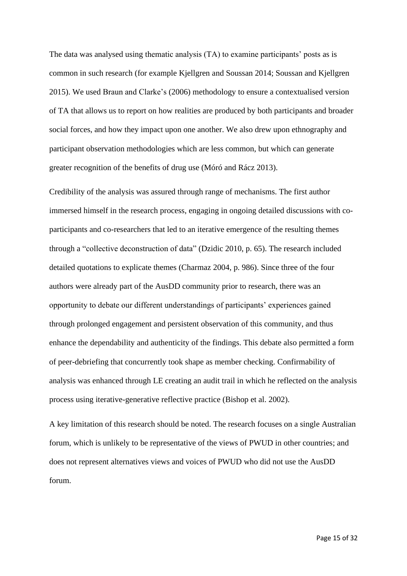The data was analysed using thematic analysis (TA) to examine participants' posts as is common in such research (for example Kjellgren and Soussan 2014; Soussan and Kjellgren 2015). We used Braun and Clarke's (2006) methodology to ensure a contextualised version of TA that allows us to report on how realities are produced by both participants and broader social forces, and how they impact upon one another. We also drew upon ethnography and participant observation methodologies which are less common, but which can generate greater recognition of the benefits of drug use (Móró and Rácz 2013).

Credibility of the analysis was assured through range of mechanisms. The first author immersed himself in the research process, engaging in ongoing detailed discussions with coparticipants and co-researchers that led to an iterative emergence of the resulting themes through a "collective deconstruction of data" (Dzidic 2010, p. 65). The research included detailed quotations to explicate themes (Charmaz 2004, p. 986). Since three of the four authors were already part of the AusDD community prior to research, there was an opportunity to debate our different understandings of participants' experiences gained through prolonged engagement and persistent observation of this community, and thus enhance the dependability and authenticity of the findings. This debate also permitted a form of peer-debriefing that concurrently took shape as member checking. Confirmability of analysis was enhanced through LE creating an audit trail in which he reflected on the analysis process using iterative-generative reflective practice (Bishop et al. 2002).

A key limitation of this research should be noted. The research focuses on a single Australian forum, which is unlikely to be representative of the views of PWUD in other countries; and does not represent alternatives views and voices of PWUD who did not use the AusDD forum.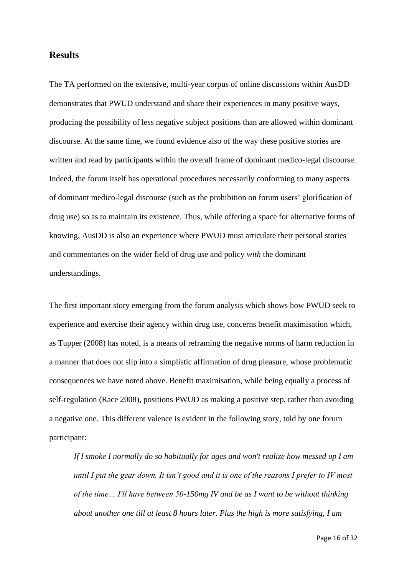## <span id="page-16-0"></span>**Results**

The TA performed on the extensive, multi-year corpus of online discussions within AusDD demonstrates that PWUD understand and share their experiences in many positive ways, producing the possibility of less negative subject positions than are allowed within dominant discourse. At the same time, we found evidence also of the way these positive stories are written and read by participants within the overall frame of dominant medico-legal discourse. Indeed, the forum itself has operational procedures necessarily conforming to many aspects of dominant medico-legal discourse (such as the prohibition on forum users' glorification of drug use) so as to maintain its existence. Thus, while offering a space for alternative forms of knowing, AusDD is also an experience where PWUD must articulate their personal stories and commentaries on the wider field of drug use and policy *with* the dominant understandings.

The first important story emerging from the forum analysis which shows how PWUD seek to experience and exercise their agency within drug use, concerns benefit maximisation which, as Tupper (2008) has noted, is a means of reframing the negative norms of harm reduction in a manner that does not slip into a simplistic affirmation of drug pleasure, whose problematic consequences we have noted above. Benefit maximisation, while being equally a process of self-regulation (Race 2008), positions PWUD as making a positive step, rather than avoiding a negative one. This different valence is evident in the following story, told by one forum participant:

*If I smoke I normally do so habitually for ages and won't realize how messed up I am until I put the gear down. It isn't good and it is one of the reasons I prefer to IV most of the time… I'll have between 50-150mg IV and be as I want to be without thinking about another one till at least 8 hours later. Plus the high is more satisfying, I am*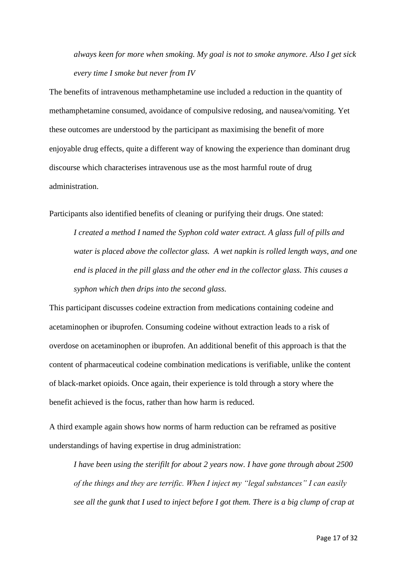*always keen for more when smoking. My goal is not to smoke anymore. Also I get sick every time I smoke but never from IV*

The benefits of intravenous methamphetamine use included a reduction in the quantity of methamphetamine consumed, avoidance of compulsive redosing, and nausea/vomiting. Yet these outcomes are understood by the participant as maximising the benefit of more enjoyable drug effects, quite a different way of knowing the experience than dominant drug discourse which characterises intravenous use as the most harmful route of drug administration.

Participants also identified benefits of cleaning or purifying their drugs. One stated:

*I created a method I named the Syphon cold water extract. A glass full of pills and water is placed above the collector glass. A wet napkin is rolled length ways, and one end is placed in the pill glass and the other end in the collector glass. This causes a syphon which then drips into the second glass.*

This participant discusses codeine extraction from medications containing codeine and acetaminophen or ibuprofen. Consuming codeine without extraction leads to a risk of overdose on acetaminophen or ibuprofen. An additional benefit of this approach is that the content of pharmaceutical codeine combination medications is verifiable, unlike the content of black-market opioids. Once again, their experience is told through a story where the benefit achieved is the focus, rather than how harm is reduced.

A third example again shows how norms of harm reduction can be reframed as positive understandings of having expertise in drug administration:

*I have been using the sterifilt for about 2 years now. I have gone through about 2500 of the things and they are terrific. When I inject my "legal substances" I can easily see all the gunk that I used to inject before I got them. There is a big clump of crap at*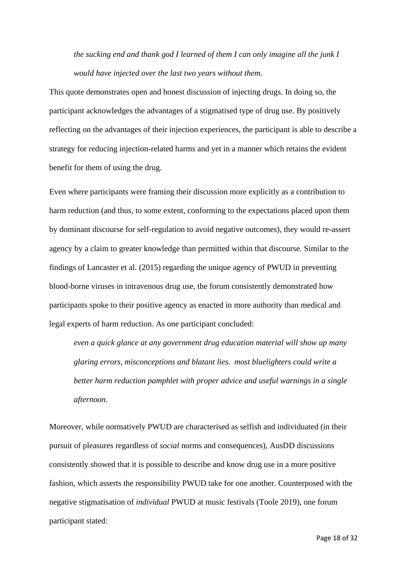*the sucking end and thank god I learned of them I can only imagine all the junk I would have injected over the last two years without them.*

This quote demonstrates open and honest discussion of injecting drugs. In doing so, the participant acknowledges the advantages of a stigmatised type of drug use. By positively reflecting on the advantages of their injection experiences, the participant is able to describe a strategy for reducing injection-related harms and yet in a manner which retains the evident benefit for them of using the drug.

Even where participants were framing their discussion more explicitly as a contribution to harm reduction (and thus, to some extent, conforming to the expectations placed upon them by dominant discourse for self-regulation to avoid negative outcomes), they would re-assert agency by a claim to greater knowledge than permitted within that discourse. Similar to the findings of Lancaster et al. (2015) regarding the unique agency of PWUD in preventing blood-borne viruses in intravenous drug use, the forum consistently demonstrated how participants spoke to their positive agency as enacted in more authority than medical and legal experts of harm reduction. As one participant concluded:

*even a quick glance at any government drug education material will show up many glaring errors, misconceptions and blatant lies. most bluelighters could write a better harm reduction pamphlet with proper advice and useful warnings in a single afternoon.*

Moreover, while normatively PWUD are characterised as selfish and individuated (in their pursuit of pleasures regardless of *social* norms and consequences), AusDD discussions consistently showed that it is possible to describe and know drug use in a more positive fashion, which asserts the responsibility PWUD take for one another. Counterposed with the negative stigmatisation of *individual* PWUD at music festivals (Toole 2019), one forum participant stated:

Page 18 of 32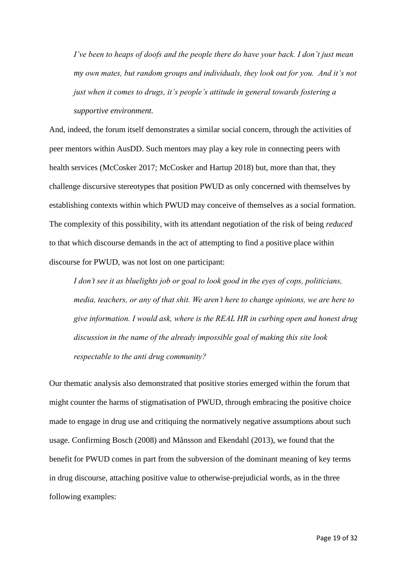*I've been to heaps of doofs and the people there do have your back. I don't just mean my own mates, but random groups and individuals, they look out for you. And it's not just when it comes to drugs, it's people's attitude in general towards fostering a supportive environment.*

And, indeed, the forum itself demonstrates a similar social concern, through the activities of peer mentors within AusDD. Such mentors may play a key role in connecting peers with health services (McCosker 2017; McCosker and Hartup 2018) but, more than that, they challenge discursive stereotypes that position PWUD as only concerned with themselves by establishing contexts within which PWUD may conceive of themselves as a social formation. The complexity of this possibility, with its attendant negotiation of the risk of being *reduced* to that which discourse demands in the act of attempting to find a positive place within discourse for PWUD, was not lost on one participant:

*I don't see it as bluelights job or goal to look good in the eyes of cops, politicians, media, teachers, or any of that shit. We aren't here to change opinions, we are here to give information. I would ask, where is the REAL HR in curbing open and honest drug discussion in the name of the already impossible goal of making this site look respectable to the anti drug community?*

Our thematic analysis also demonstrated that positive stories emerged within the forum that might counter the harms of stigmatisation of PWUD, through embracing the positive choice made to engage in drug use and critiquing the normatively negative assumptions about such usage. Confirming Bosch (2008) and Månsson and Ekendahl (2013), we found that the benefit for PWUD comes in part from the subversion of the dominant meaning of key terms in drug discourse, attaching positive value to otherwise-prejudicial words, as in the three following examples: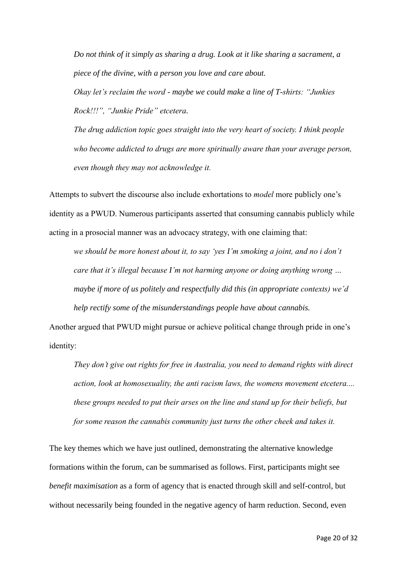*Do not think of it simply as sharing a drug. Look at it like sharing a sacrament, a piece of the divine, with a person you love and care about.*

*Okay let's reclaim the word - maybe we could make a line of T-shirts: "Junkies Rock!!!", "Junkie Pride" etcetera.*

*The drug addiction topic goes straight into the very heart of society. I think people who become addicted to drugs are more spiritually aware than your average person, even though they may not acknowledge it.*

Attempts to subvert the discourse also include exhortations to *model* more publicly one's identity as a PWUD. Numerous participants asserted that consuming cannabis publicly while acting in a prosocial manner was an advocacy strategy, with one claiming that:

*we should be more honest about it, to say 'yes I'm smoking a joint, and no i don't care that it's illegal because I'm not harming anyone or doing anything wrong … maybe if more of us politely and respectfully did this (in appropriate contexts) we'd help rectify some of the misunderstandings people have about cannabis.*

Another argued that PWUD might pursue or achieve political change through pride in one's identity:

*They don't give out rights for free in Australia, you need to demand rights with direct action, look at homosexuality, the anti racism laws, the womens movement etcetera.... these groups needed to put their arses on the line and stand up for their beliefs, but for some reason the cannabis community just turns the other cheek and takes it.*

The key themes which we have just outlined, demonstrating the alternative knowledge formations within the forum, can be summarised as follows. First, participants might see *benefit maximisation* as a form of agency that is enacted through skill and self-control, but without necessarily being founded in the negative agency of harm reduction. Second, even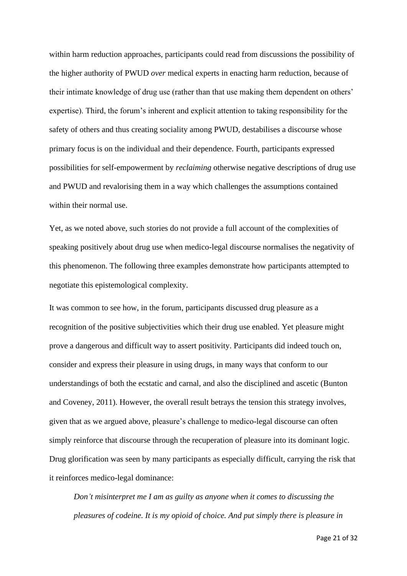within harm reduction approaches, participants could read from discussions the possibility of the higher authority of PWUD *over* medical experts in enacting harm reduction, because of their intimate knowledge of drug use (rather than that use making them dependent on others' expertise). Third, the forum's inherent and explicit attention to taking responsibility for the safety of others and thus creating sociality among PWUD, destabilises a discourse whose primary focus is on the individual and their dependence. Fourth, participants expressed possibilities for self-empowerment by *reclaiming* otherwise negative descriptions of drug use and PWUD and revalorising them in a way which challenges the assumptions contained within their normal use.

Yet, as we noted above, such stories do not provide a full account of the complexities of speaking positively about drug use when medico-legal discourse normalises the negativity of this phenomenon. The following three examples demonstrate how participants attempted to negotiate this epistemological complexity.

It was common to see how, in the forum, participants discussed drug pleasure as a recognition of the positive subjectivities which their drug use enabled. Yet pleasure might prove a dangerous and difficult way to assert positivity. Participants did indeed touch on, consider and express their pleasure in using drugs, in many ways that conform to our understandings of both the ecstatic and carnal, and also the disciplined and ascetic (Bunton and Coveney, 2011). However, the overall result betrays the tension this strategy involves, given that as we argued above, pleasure's challenge to medico-legal discourse can often simply reinforce that discourse through the recuperation of pleasure into its dominant logic. Drug glorification was seen by many participants as especially difficult, carrying the risk that it reinforces medico-legal dominance:

*Don't misinterpret me I am as guilty as anyone when it comes to discussing the pleasures of codeine. It is my opioid of choice. And put simply there is pleasure in* 

Page 21 of 32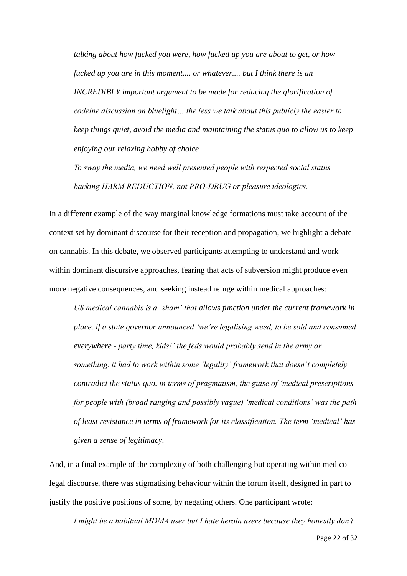*talking about how fucked you were, how fucked up you are about to get, or how fucked up you are in this moment.... or whatever.... but I think there is an INCREDIBLY important argument to be made for reducing the glorification of codeine discussion on bluelight… the less we talk about this publicly the easier to keep things quiet, avoid the media and maintaining the status quo to allow us to keep enjoying our relaxing hobby of choice*

*To sway the media, we need well presented people with respected social status backing HARM REDUCTION, not PRO-DRUG or pleasure ideologies.*

In a different example of the way marginal knowledge formations must take account of the context set by dominant discourse for their reception and propagation, we highlight a debate on cannabis. In this debate, we observed participants attempting to understand and work within dominant discursive approaches, fearing that acts of subversion might produce even more negative consequences, and seeking instead refuge within medical approaches:

*US medical cannabis is a 'sham' that allows function under the current framework in place. if a state governor announced 'we're legalising weed, to be sold and consumed everywhere - party time, kids!' the feds would probably send in the army or something. it had to work within some 'legality' framework that doesn't completely contradict the status quo. in terms of pragmatism, the guise of 'medical prescriptions' for people with (broad ranging and possibly vague) 'medical conditions' was the path of least resistance in terms of framework for its classification. The term 'medical' has given a sense of legitimacy.*

And, in a final example of the complexity of both challenging but operating within medicolegal discourse, there was stigmatising behaviour within the forum itself, designed in part to justify the positive positions of some, by negating others. One participant wrote:

*I might be a habitual MDMA user but I hate heroin users because they honestly don't*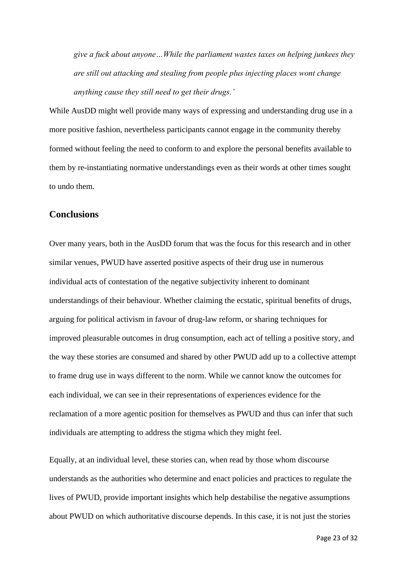*give a fuck about anyone…While the parliament wastes taxes on helping junkees they are still out attacking and stealing from people plus injecting places wont change anything cause they still need to get their drugs.'*

While AusDD might well provide many ways of expressing and understanding drug use in a more positive fashion, nevertheless participants cannot engage in the community thereby formed without feeling the need to conform to and explore the personal benefits available to them by re-instantiating normative understandings even as their words at other times sought to undo them.

## <span id="page-23-0"></span>**Conclusions**

Over many years, both in the AusDD forum that was the focus for this research and in other similar venues, PWUD have asserted positive aspects of their drug use in numerous individual acts of contestation of the negative subjectivity inherent to dominant understandings of their behaviour. Whether claiming the ecstatic, spiritual benefits of drugs, arguing for political activism in favour of drug-law reform, or sharing techniques for improved pleasurable outcomes in drug consumption, each act of telling a positive story, and the way these stories are consumed and shared by other PWUD add up to a collective attempt to frame drug use in ways different to the norm. While we cannot know the outcomes for each individual, we can see in their representations of experiences evidence for the reclamation of a more agentic position for themselves as PWUD and thus can infer that such individuals are attempting to address the stigma which they might feel.

Equally, at an individual level, these stories can, when read by those whom discourse understands as the authorities who determine and enact policies and practices to regulate the lives of PWUD, provide important insights which help destabilise the negative assumptions about PWUD on which authoritative discourse depends. In this case, it is not just the stories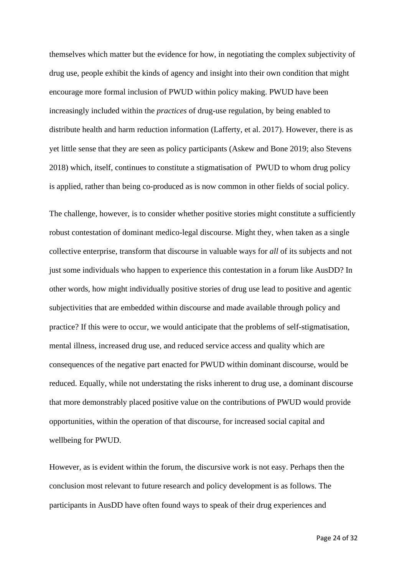themselves which matter but the evidence for how, in negotiating the complex subjectivity of drug use, people exhibit the kinds of agency and insight into their own condition that might encourage more formal inclusion of PWUD within policy making. PWUD have been increasingly included within the *practices* of drug-use regulation, by being enabled to distribute health and harm reduction information (Lafferty, et al. 2017). However, there is as yet little sense that they are seen as policy participants (Askew and Bone 2019; also Stevens 2018) which, itself, continues to constitute a stigmatisation of PWUD to whom drug policy is applied, rather than being co-produced as is now common in other fields of social policy.

The challenge, however, is to consider whether positive stories might constitute a sufficiently robust contestation of dominant medico-legal discourse. Might they, when taken as a single collective enterprise, transform that discourse in valuable ways for *all* of its subjects and not just some individuals who happen to experience this contestation in a forum like AusDD? In other words, how might individually positive stories of drug use lead to positive and agentic subjectivities that are embedded within discourse and made available through policy and practice? If this were to occur, we would anticipate that the problems of self-stigmatisation, mental illness, increased drug use, and reduced service access and quality which are consequences of the negative part enacted for PWUD within dominant discourse, would be reduced. Equally, while not understating the risks inherent to drug use, a dominant discourse that more demonstrably placed positive value on the contributions of PWUD would provide opportunities, within the operation of that discourse, for increased social capital and wellbeing for PWUD.

However, as is evident within the forum, the discursive work is not easy. Perhaps then the conclusion most relevant to future research and policy development is as follows. The participants in AusDD have often found ways to speak of their drug experiences and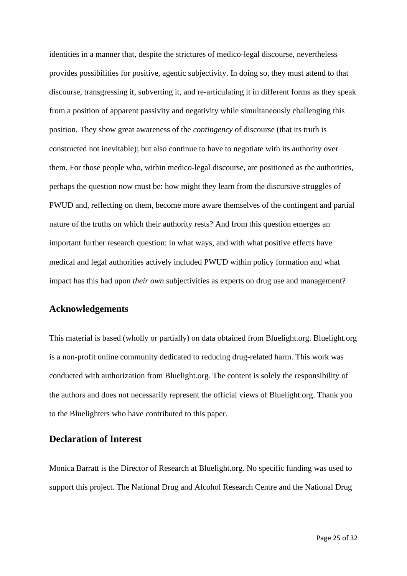identities in a manner that, despite the strictures of medico-legal discourse, nevertheless provides possibilities for positive, agentic subjectivity. In doing so, they must attend to that discourse, transgressing it, subverting it, and re-articulating it in different forms as they speak from a position of apparent passivity and negativity while simultaneously challenging this position. They show great awareness of the *contingency* of discourse (that its truth is constructed not inevitable); but also continue to have to negotiate with its authority over them. For those people who, within medico-legal discourse, are positioned as the authorities, perhaps the question now must be: how might they learn from the discursive struggles of PWUD and, reflecting on them, become more aware themselves of the contingent and partial nature of the truths on which their authority rests? And from this question emerges an important further research question: in what ways, and with what positive effects have medical and legal authorities actively included PWUD within policy formation and what impact has this had upon *their own* subjectivities as experts on drug use and management?

## <span id="page-25-0"></span>**Acknowledgements**

This material is based (wholly or partially) on data obtained from Bluelight.org. Bluelight.org is a non-profit online community dedicated to reducing drug-related harm. This work was conducted with authorization from Bluelight.org. The content is solely the responsibility of the authors and does not necessarily represent the official views of Bluelight.org. Thank you to the Bluelighters who have contributed to this paper.

## <span id="page-25-1"></span>**Declaration of Interest**

Monica Barratt is the Director of Research at Bluelight.org. No specific funding was used to support this project. The National Drug and Alcohol Research Centre and the National Drug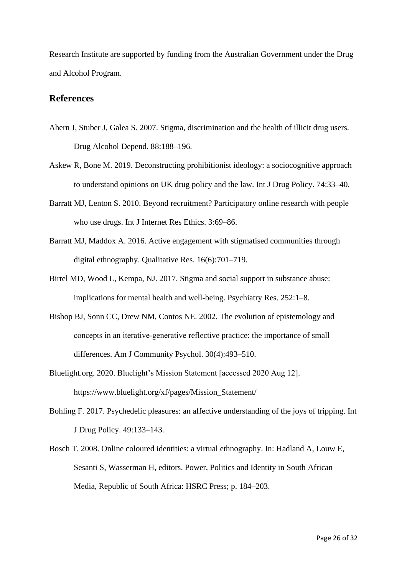Research Institute are supported by funding from the Australian Government under the Drug and Alcohol Program.

## <span id="page-26-0"></span>**References**

- Ahern J, Stuber J, Galea S. 2007. Stigma, discrimination and the health of illicit drug users. Drug Alcohol Depend. 88:188–196.
- Askew R, Bone M. 2019. Deconstructing prohibitionist ideology: a sociocognitive approach to understand opinions on UK drug policy and the law. Int J Drug Policy. 74:33–40.
- Barratt MJ, Lenton S. 2010. Beyond recruitment? Participatory online research with people who use drugs. Int J Internet Res Ethics. 3:69–86.
- Barratt MJ, Maddox A. 2016. Active engagement with stigmatised communities through digital ethnography. Qualitative Res. 16(6):701–719.
- Birtel MD, Wood L, Kempa, NJ. 2017. Stigma and social support in substance abuse: implications for mental health and well-being. Psychiatry Res. 252:1–8.
- Bishop BJ, Sonn CC, Drew NM, Contos NE. 2002. The evolution of epistemology and concepts in an iterative‐generative reflective practice: the importance of small differences. Am J Community Psychol. 30(4):493–510.
- Bluelight.org. 2020. Bluelight's Mission Statement [accessed 2020 Aug 12]. https://www.bluelight.org/xf/pages/Mission\_Statement/
- Bohling F. 2017. Psychedelic pleasures: an affective understanding of the joys of tripping. Int J Drug Policy. 49:133–143.
- Bosch T. 2008. Online coloured identities: a virtual ethnography. In: Hadland A, Louw E, Sesanti S, Wasserman H, editors. Power, Politics and Identity in South African Media, Republic of South Africa: HSRC Press; p. 184–203.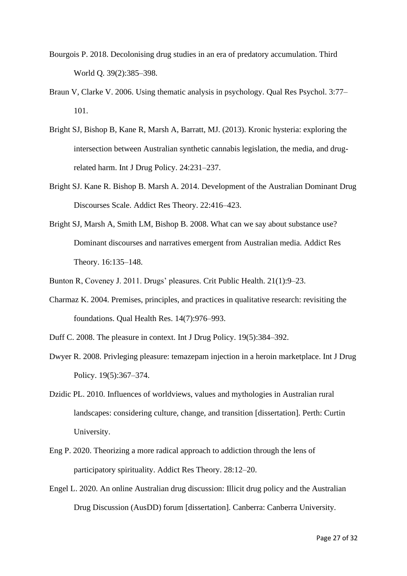- Bourgois P. 2018. Decolonising drug studies in an era of predatory accumulation. Third World Q. 39(2):385–398.
- Braun V, Clarke V. 2006. Using thematic analysis in psychology. Qual Res Psychol. 3:77– 101.
- Bright SJ, Bishop B, Kane R, Marsh A, Barratt, MJ. (2013). Kronic hysteria: exploring the intersection between Australian synthetic cannabis legislation, the media, and drugrelated harm. Int J Drug Policy. 24:231–237.
- Bright SJ. Kane R. Bishop B. Marsh A. 2014. Development of the Australian Dominant Drug Discourses Scale. Addict Res Theory. 22:416–423.
- Bright SJ, Marsh A, Smith LM, Bishop B. 2008. What can we say about substance use? Dominant discourses and narratives emergent from Australian media. Addict Res Theory. 16:135–148.
- Bunton R, Coveney J. 2011. Drugs' pleasures. Crit Public Health. 21(1):9–23.
- Charmaz K. 2004. Premises, principles, and practices in qualitative research: revisiting the foundations. Qual Health Res. 14(7):976–993.
- Duff C. 2008. The pleasure in context. Int J Drug Policy. 19(5):384–392.
- Dwyer R. 2008. Privleging pleasure: temazepam injection in a heroin marketplace. Int J Drug Policy. 19(5):367–374.
- Dzidic PL. 2010. Influences of worldviews, values and mythologies in Australian rural landscapes: considering culture, change, and transition [dissertation]. Perth: Curtin University.
- Eng P. 2020. Theorizing a more radical approach to addiction through the lens of participatory spirituality. Addict Res Theory. 28:12–20.
- Engel L. 2020. An online Australian drug discussion: Illicit drug policy and the Australian Drug Discussion (AusDD) forum [dissertation]. Canberra: Canberra University.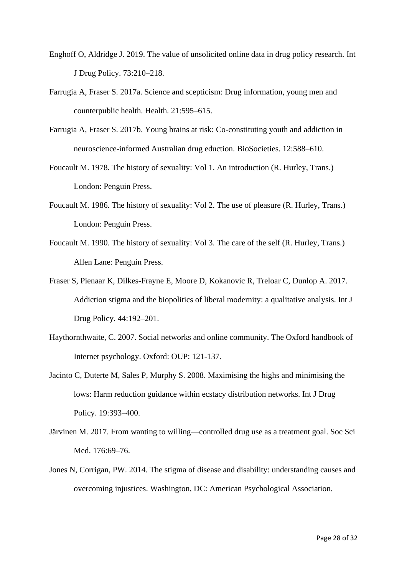- Enghoff O, Aldridge J. 2019. The value of unsolicited online data in drug policy research. Int J Drug Policy. 73:210–218.
- Farrugia A, Fraser S. 2017a. Science and scepticism: Drug information, young men and counterpublic health. Health. 21:595–615.
- Farrugia A, Fraser S. 2017b. Young brains at risk: Co-constituting youth and addiction in neuroscience-informed Australian drug eduction. BioSocieties. 12:588–610.
- Foucault M. 1978. The history of sexuality: Vol 1. An introduction (R. Hurley, Trans.) London: Penguin Press.
- Foucault M. 1986. The history of sexuality: Vol 2. The use of pleasure (R. Hurley, Trans.) London: Penguin Press.
- Foucault M. 1990. The history of sexuality: Vol 3. The care of the self (R. Hurley, Trans.) Allen Lane: Penguin Press.
- Fraser S, Pienaar K, Dilkes-Frayne E, Moore D, Kokanovic R, Treloar C, Dunlop A. 2017. Addiction stigma and the biopolitics of liberal modernity: a qualitative analysis. Int J Drug Policy. 44:192–201.
- Haythornthwaite, C. 2007. Social networks and online community. The Oxford handbook of Internet psychology. Oxford: OUP: 121-137.
- Jacinto C, Duterte M, Sales P, Murphy S. 2008. Maximising the highs and minimising the lows: Harm reduction guidance within ecstacy distribution networks. Int J Drug Policy. 19:393–400.
- Järvinen M. 2017. From wanting to willing—controlled drug use as a treatment goal. Soc Sci Med. 176:69–76.
- Jones N, Corrigan, PW. 2014. The stigma of disease and disability: understanding causes and overcoming injustices. Washington, DC: American Psychological Association.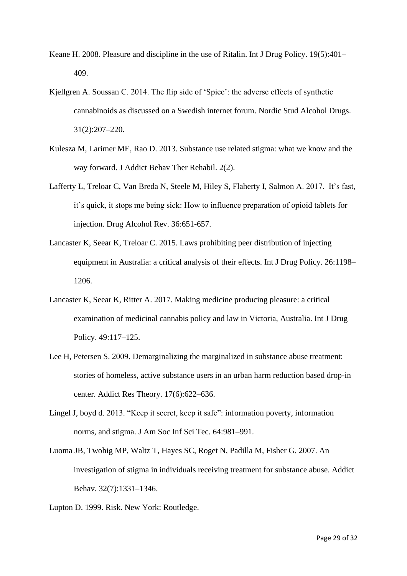- Keane H. 2008. Pleasure and discipline in the use of Ritalin. Int J Drug Policy. 19(5):401– 409.
- Kjellgren A. Soussan C. 2014. The flip side of 'Spice': the adverse effects of synthetic cannabinoids as discussed on a Swedish internet forum. Nordic Stud Alcohol Drugs. 31(2):207–220.
- Kulesza M, Larimer ME, Rao D. 2013. Substance use related stigma: what we know and the way forward. J Addict Behav Ther Rehabil. 2(2).
- Lafferty L, Treloar C, Van Breda N, Steele M, Hiley S, Flaherty I, Salmon A. 2017. It's fast, it's quick, it stops me being sick: How to influence preparation of opioid tablets for injection. Drug Alcohol Rev. 36:651-657.
- Lancaster K, Seear K, Treloar C. 2015. Laws prohibiting peer distribution of injecting equipment in Australia: a critical analysis of their effects. Int J Drug Policy. 26:1198– 1206.
- Lancaster K, Seear K, Ritter A. 2017. Making medicine producing pleasure: a critical examination of medicinal cannabis policy and law in Victoria, Australia. Int J Drug Policy. 49:117–125.
- Lee H, Petersen S. 2009. Demarginalizing the marginalized in substance abuse treatment: stories of homeless, active substance users in an urban harm reduction based drop-in center. Addict Res Theory. 17(6):622–636.
- Lingel J, boyd d. 2013. "Keep it secret, keep it safe": information poverty, information norms, and stigma. J Am Soc Inf Sci Tec. 64:981–991.
- Luoma JB, Twohig MP, Waltz T, Hayes SC, Roget N, Padilla M, Fisher G. 2007. An investigation of stigma in individuals receiving treatment for substance abuse. Addict Behav. 32(7):1331–1346.
- Lupton D. 1999. Risk. New York: Routledge.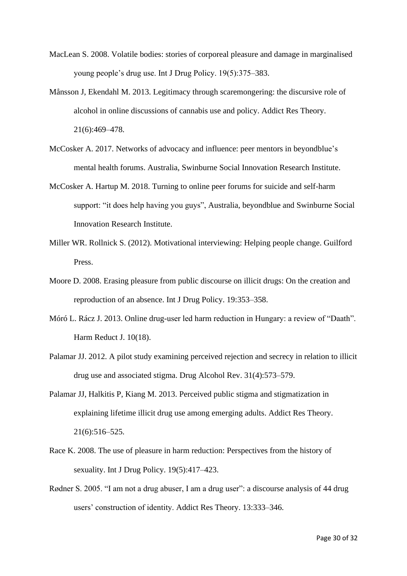- MacLean S. 2008. Volatile bodies: stories of corporeal pleasure and damage in marginalised young people's drug use. Int J Drug Policy. 19(5):375–383.
- Månsson J, Ekendahl M. 2013. Legitimacy through scaremongering: the discursive role of alcohol in online discussions of cannabis use and policy. Addict Res Theory. 21(6):469–478.
- McCosker A. 2017. Networks of advocacy and influence: peer mentors in beyondblue's mental health forums. Australia, Swinburne Social Innovation Research Institute.
- McCosker A. Hartup M. 2018. Turning to online peer forums for suicide and self-harm support: "it does help having you guys", Australia, beyondblue and Swinburne Social Innovation Research Institute.
- Miller WR. Rollnick S. (2012). Motivational interviewing: Helping people change. Guilford Press.
- Moore D. 2008. Erasing pleasure from public discourse on illicit drugs: On the creation and reproduction of an absence. Int J Drug Policy. 19:353–358.
- Móró L. Rácz J. 2013. Online drug-user led harm reduction in Hungary: a review of "Daath". Harm Reduct J. 10(18).
- Palamar JJ. 2012. A pilot study examining perceived rejection and secrecy in relation to illicit drug use and associated stigma. Drug Alcohol Rev. 31(4):573–579.
- Palamar JJ, Halkitis P, Kiang M. 2013. Perceived public stigma and stigmatization in explaining lifetime illicit drug use among emerging adults. Addict Res Theory. 21(6):516–525.
- Race K. 2008. The use of pleasure in harm reduction: Perspectives from the history of sexuality. Int J Drug Policy. 19(5):417–423.
- Rødner S. 2005. "I am not a drug abuser, I am a drug user": a discourse analysis of 44 drug users' construction of identity. Addict Res Theory. 13:333–346.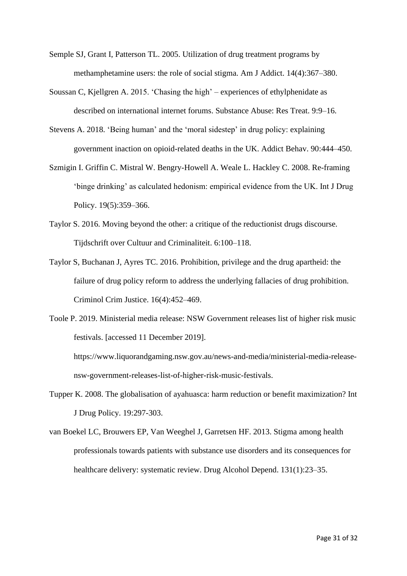- Semple SJ, Grant I, Patterson TL. 2005. Utilization of drug treatment programs by methamphetamine users: the role of social stigma. Am J Addict. 14(4):367–380.
- Soussan C, Kjellgren A. 2015. 'Chasing the high' experiences of ethylphenidate as described on international internet forums. Substance Abuse: Res Treat. 9:9–16.
- Stevens A. 2018. 'Being human' and the 'moral sidestep' in drug policy: explaining government inaction on opioid-related deaths in the UK. Addict Behav. 90:444–450.
- Szmigin I. Griffin C. Mistral W. Bengry-Howell A. Weale L. Hackley C. 2008. Re-framing 'binge drinking' as calculated hedonism: empirical evidence from the UK. Int J Drug Policy. 19(5):359–366.
- Taylor S. 2016. Moving beyond the other: a critique of the reductionist drugs discourse. Tijdschrift over Cultuur and Criminaliteit. 6:100–118.
- Taylor S, Buchanan J, Ayres TC. 2016. Prohibition, privilege and the drug apartheid: the failure of drug policy reform to address the underlying fallacies of drug prohibition. Criminol Crim Justice. 16(4):452–469.
- Toole P. 2019. Ministerial media release: NSW Government releases list of higher risk music festivals. [accessed 11 December 2019].

https://www.liquorandgaming.nsw.gov.au/news-and-media/ministerial-media-releasensw-government-releases-list-of-higher-risk-music-festivals.

- Tupper K. 2008. The globalisation of ayahuasca: harm reduction or benefit maximization? Int J Drug Policy. 19:297-303.
- van Boekel LC, Brouwers EP, Van Weeghel J, Garretsen HF. 2013. Stigma among health professionals towards patients with substance use disorders and its consequences for healthcare delivery: systematic review. Drug Alcohol Depend. 131(1):23–35.